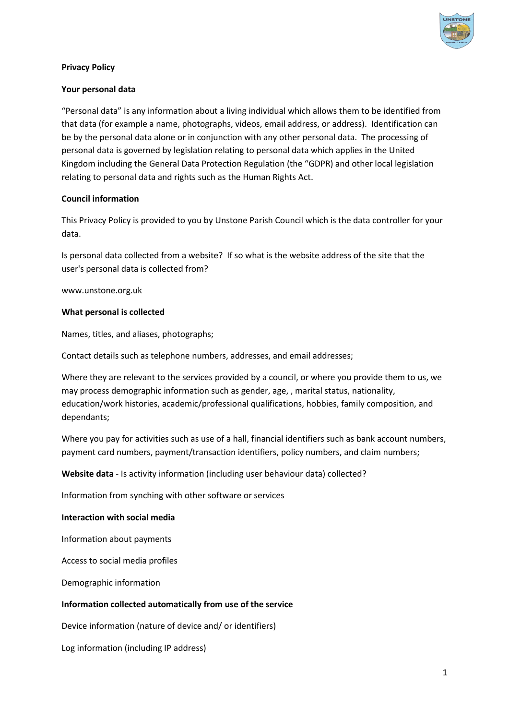

### **Privacy Policy**

### **Your personal data**

"Personal data" is any information about a living individual which allows them to be identified from that data (for example a name, photographs, videos, email address, or address). Identification can be by the personal data alone or in conjunction with any other personal data. The processing of personal data is governed by legislation relating to personal data which applies in the United Kingdom including the General Data Protection Regulation (the "GDPR) and other local legislation relating to personal data and rights such as the Human Rights Act.

### **Council information**

This Privacy Policy is provided to you by Unstone Parish Council which is the data controller for your data.

Is personal data collected from a website? If so what is the website address of the site that the user's personal data is collected from?

www.unstone.org.uk

### **What personal is collected**

Names, titles, and aliases, photographs;

Contact details such as telephone numbers, addresses, and email addresses;

Where they are relevant to the services provided by a council, or where you provide them to us, we may process demographic information such as gender, age, , marital status, nationality, education/work histories, academic/professional qualifications, hobbies, family composition, and dependants;

Where you pay for activities such as use of a hall, financial identifiers such as bank account numbers, payment card numbers, payment/transaction identifiers, policy numbers, and claim numbers;

**Website data** - Is activity information (including user behaviour data) collected?

Information from synching with other software or services

### **Interaction with social media**

Information about payments

Access to social media profiles

Demographic information

# **Information collected automatically from use of the service**

Device information (nature of device and/ or identifiers)

Log information (including IP address)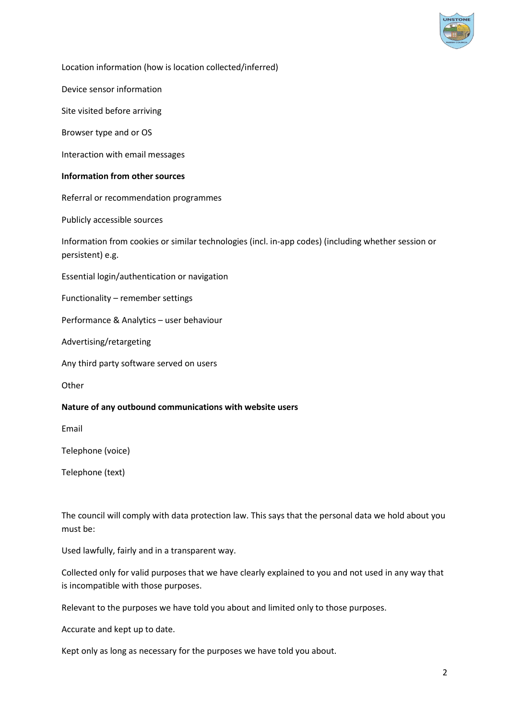

Location information (how is location collected/inferred)

Device sensor information

Site visited before arriving

Browser type and or OS

Interaction with email messages

### **Information from other sources**

Referral or recommendation programmes

Publicly accessible sources

Information from cookies or similar technologies (incl. in-app codes) (including whether session or persistent) e.g.

Essential login/authentication or navigation

Functionality – remember settings

Performance & Analytics – user behaviour

Advertising/retargeting

Any third party software served on users

**Other** 

### **Nature of any outbound communications with website users**

Email

Telephone (voice)

Telephone (text)

The council will comply with data protection law. This says that the personal data we hold about you must be:

Used lawfully, fairly and in a transparent way.

Collected only for valid purposes that we have clearly explained to you and not used in any way that is incompatible with those purposes.

Relevant to the purposes we have told you about and limited only to those purposes.

Accurate and kept up to date.

Kept only as long as necessary for the purposes we have told you about.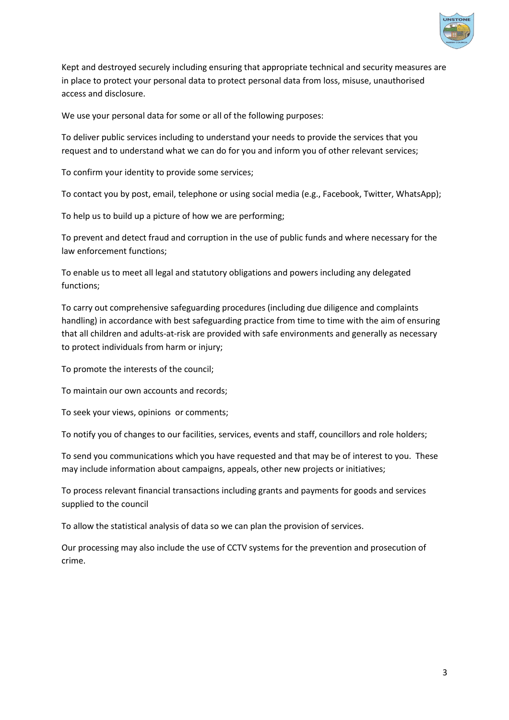

Kept and destroyed securely including ensuring that appropriate technical and security measures are in place to protect your personal data to protect personal data from loss, misuse, unauthorised access and disclosure.

We use your personal data for some or all of the following purposes:

To deliver public services including to understand your needs to provide the services that you request and to understand what we can do for you and inform you of other relevant services;

To confirm your identity to provide some services;

To contact you by post, email, telephone or using social media (e.g., Facebook, Twitter, WhatsApp);

To help us to build up a picture of how we are performing;

To prevent and detect fraud and corruption in the use of public funds and where necessary for the law enforcement functions;

To enable us to meet all legal and statutory obligations and powers including any delegated functions;

To carry out comprehensive safeguarding procedures (including due diligence and complaints handling) in accordance with best safeguarding practice from time to time with the aim of ensuring that all children and adults-at-risk are provided with safe environments and generally as necessary to protect individuals from harm or injury;

To promote the interests of the council;

To maintain our own accounts and records;

To seek your views, opinions or comments;

To notify you of changes to our facilities, services, events and staff, councillors and role holders;

To send you communications which you have requested and that may be of interest to you. These may include information about campaigns, appeals, other new projects or initiatives;

To process relevant financial transactions including grants and payments for goods and services supplied to the council

To allow the statistical analysis of data so we can plan the provision of services.

Our processing may also include the use of CCTV systems for the prevention and prosecution of crime.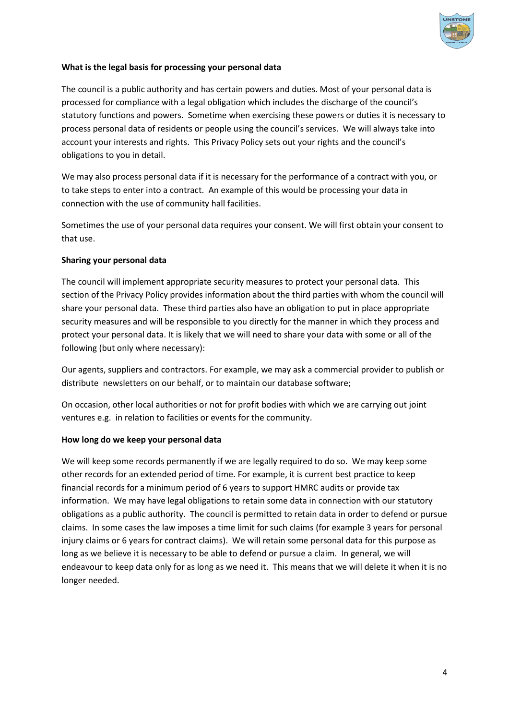

# **What is the legal basis for processing your personal data**

The council is a public authority and has certain powers and duties. Most of your personal data is processed for compliance with a legal obligation which includes the discharge of the council's statutory functions and powers. Sometime when exercising these powers or duties it is necessary to process personal data of residents or people using the council's services. We will always take into account your interests and rights. This Privacy Policy sets out your rights and the council's obligations to you in detail.

We may also process personal data if it is necessary for the performance of a contract with you, or to take steps to enter into a contract. An example of this would be processing your data in connection with the use of community hall facilities.

Sometimes the use of your personal data requires your consent. We will first obtain your consent to that use.

# **Sharing your personal data**

The council will implement appropriate security measures to protect your personal data. This section of the Privacy Policy provides information about the third parties with whom the council will share your personal data. These third parties also have an obligation to put in place appropriate security measures and will be responsible to you directly for the manner in which they process and protect your personal data. It is likely that we will need to share your data with some or all of the following (but only where necessary):

Our agents, suppliers and contractors. For example, we may ask a commercial provider to publish or distribute newsletters on our behalf, or to maintain our database software;

On occasion, other local authorities or not for profit bodies with which we are carrying out joint ventures e.g. in relation to facilities or events for the community.

# **How long do we keep your personal data**

We will keep some records permanently if we are legally required to do so. We may keep some other records for an extended period of time. For example, it is current best practice to keep financial records for a minimum period of 6 years to support HMRC audits or provide tax information. We may have legal obligations to retain some data in connection with our statutory obligations as a public authority. The council is permitted to retain data in order to defend or pursue claims. In some cases the law imposes a time limit for such claims (for example 3 years for personal injury claims or 6 years for contract claims). We will retain some personal data for this purpose as long as we believe it is necessary to be able to defend or pursue a claim. In general, we will endeavour to keep data only for as long as we need it. This means that we will delete it when it is no longer needed.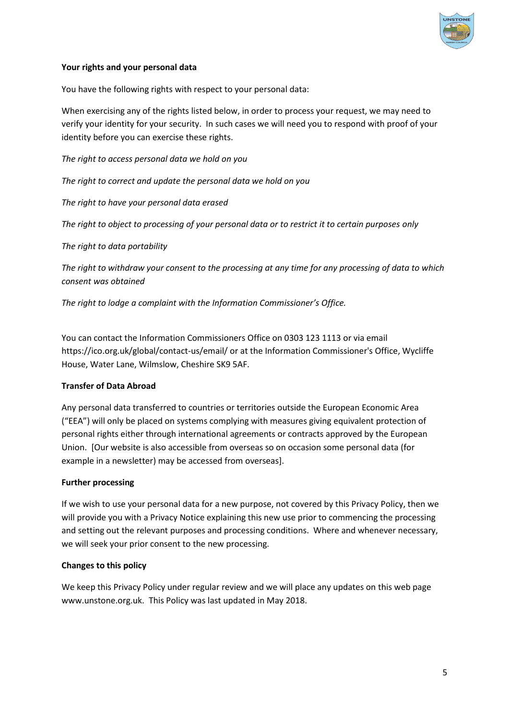

# **Your rights and your personal data**

You have the following rights with respect to your personal data:

When exercising any of the rights listed below, in order to process your request, we may need to verify your identity for your security. In such cases we will need you to respond with proof of your identity before you can exercise these rights.

*The right to access personal data we hold on you*

*The right to correct and update the personal data we hold on you*

*The right to have your personal data erased*

*The right to object to processing of your personal data or to restrict it to certain purposes only*

*The right to data portability*

*The right to withdraw your consent to the processing at any time for any processing of data to which consent was obtained*

*The right to lodge a complaint with the Information Commissioner's Office.* 

You can contact the Information Commissioners Office on 0303 123 1113 or via email https://ico.org.uk/global/contact-us/email/ or at the Information Commissioner's Office, Wycliffe House, Water Lane, Wilmslow, Cheshire SK9 5AF.

### **Transfer of Data Abroad**

Any personal data transferred to countries or territories outside the European Economic Area ("EEA") will only be placed on systems complying with measures giving equivalent protection of personal rights either through international agreements or contracts approved by the European Union. [Our website is also accessible from overseas so on occasion some personal data (for example in a newsletter) may be accessed from overseas].

### **Further processing**

If we wish to use your personal data for a new purpose, not covered by this Privacy Policy, then we will provide you with a Privacy Notice explaining this new use prior to commencing the processing and setting out the relevant purposes and processing conditions. Where and whenever necessary, we will seek your prior consent to the new processing.

# **Changes to this policy**

We keep this Privacy Policy under regular review and we will place any updates on this web page www.unstone.org.uk. This Policy was last updated in May 2018.